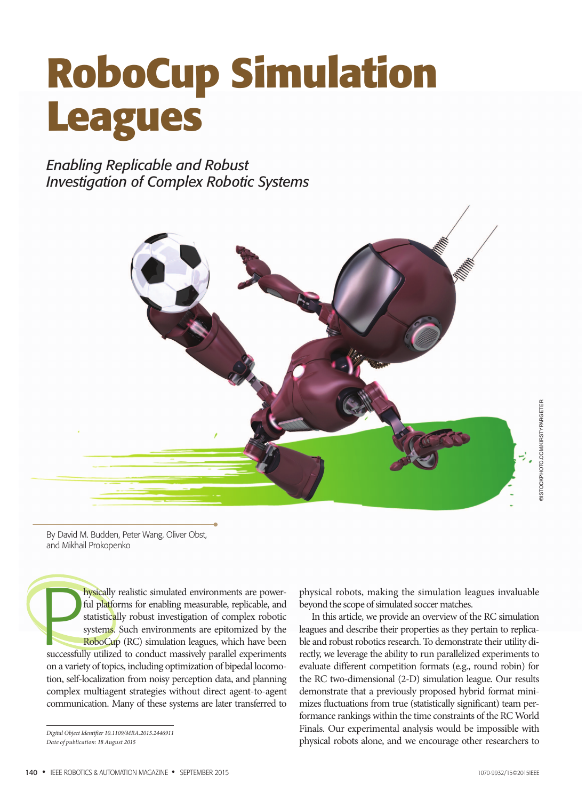# **RoboCup Simulation Leagues**

*Enabling Replicable and Robust Investigation of Complex Robotic Systems*



By David M. Budden, Peter Wang, Oliver Obst, and Mikhail Prokopenko

**Physically** realistic simulated environments are powerful platforms for enabling measurable, replicable, and statistically robust investigation of complex robotic systems. Such environments are epitomized by the RoboCup ( hysically realistic simulated environments are powerful platforms for enabling measurable, replicable, and statistically robust investigation of complex robotic systems. Such environments are epitomized by the RoboCup (RC) simulation leagues, which have been on a variety of topics, including optimization of bipedal locomotion, self-localization from noisy perception data, and planning complex multiagent strategies without direct agent-to-agent communication. Many of these systems are later transferred to

*Digital Object Identifier 10.1109/MRA.2015.2446911 Date of publication: 18 August 2015*

physical robots, making the simulation leagues invaluable beyond the scope of simulated soccer matches.

In this article, we provide an overview of the RC simulation leagues and describe their properties as they pertain to replicable and robust robotics research. To demonstrate their utility directly, we leverage the ability to run parallelized experiments to evaluate different competition formats (e.g., round robin) for the RC two-dimensional (2-D) simulation league. Our results demonstrate that a previously proposed hybrid format minimizes fluctuations from true (statistically significant) team performance rankings within the time constraints of the RC World Finals. Our experimental analysis would be impossible with physical robots alone, and we encourage other researchers to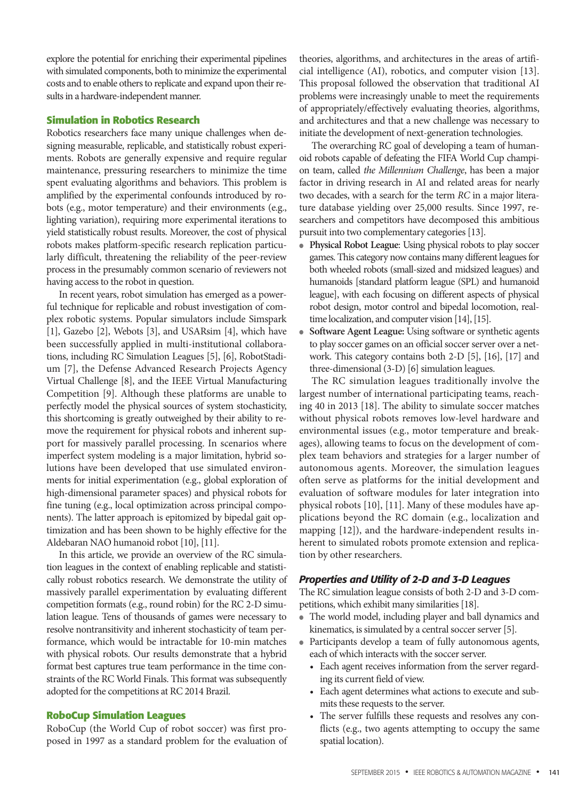explore the potential for enriching their experimental pipelines with simulated components, both to minimize the experimental costs and to enable others to replicate and expand upon their results in a hardware-independent manner.

# **Simulation in Robotics Research**

Robotics researchers face many unique challenges when designing measurable, replicable, and statistically robust experiments. Robots are generally expensive and require regular maintenance, pressuring researchers to minimize the time spent evaluating algorithms and behaviors. This problem is amplified by the experimental confounds introduced by robots (e.g., motor temperature) and their environments (e.g., lighting variation), requiring more experimental iterations to yield statistically robust results. Moreover, the cost of physical robots makes platform-specific research replication particularly difficult, threatening the reliability of the peer-review process in the presumably common scenario of reviewers not having access to the robot in question.

In recent years, robot simulation has emerged as a powerful technique for replicable and robust investigation of complex robotic systems. Popular simulators include Simspark [1], Gazebo [2], Webots [3], and USARsim [4], which have been successfully applied in multi-institutional collaborations, including RC Simulation Leagues [5], [6], RobotStadium [7], the Defense Advanced Research Projects Agency Virtual Challenge [8], and the IEEE Virtual Manufacturing Competition [9]. Although these platforms are unable to perfectly model the physical sources of system stochasticity, this shortcoming is greatly outweighed by their ability to remove the requirement for physical robots and inherent support for massively parallel processing. In scenarios where imperfect system modeling is a major limitation, hybrid solutions have been developed that use simulated environments for initial experimentation (e.g., global exploration of high-dimensional parameter spaces) and physical robots for fine tuning (e.g., local optimization across principal components). The latter approach is epitomized by bipedal gait optimization and has been shown to be highly effective for the Aldebaran NAO humanoid robot [10], [11].

In this article, we provide an overview of the RC simulation leagues in the context of enabling replicable and statistically robust robotics research. We demonstrate the utility of massively parallel experimentation by evaluating different competition formats (e.g., round robin) for the RC 2-D simulation league. Tens of thousands of games were necessary to resolve nontransitivity and inherent stochasticity of team performance, which would be intractable for 10-min matches with physical robots. Our results demonstrate that a hybrid format best captures true team performance in the time constraints of the RC World Finals. This format was subsequently adopted for the competitions at RC 2014 Brazil.

### **RoboCup Simulation Leagues**

RoboCup (the World Cup of robot soccer) was first proposed in 1997 as a standard problem for the evaluation of

theories, algorithms, and architectures in the areas of artificial intelligence (AI), robotics, and computer vision [13]. This proposal followed the observation that traditional AI problems were increasingly unable to meet the requirements of appropriately/effectively evaluating theories, algorithms, and architectures and that a new challenge was necessary to initiate the development of next-generation technologies.

The overarching RC goal of developing a team of humanoid robots capable of defeating the FIFA World Cup champion team, called *the Millennium Challenge*, has been a major factor in driving research in AI and related areas for nearly two decades, with a search for the term *RC* in a major literature database yielding over 25,000 results. Since 1997, researchers and competitors have decomposed this ambitious pursuit into two complementary categories [13].

- **Physical Robot League**: Using physical robots to play soccer games. This category now contains many different leagues for both wheeled robots (small-sized and midsized leagues) and humanoids [standard platform league (SPL) and humanoid league], with each focusing on different aspects of physical robot design, motor control and bipedal locomotion, realtime localization, and computer vision [14], [15].
- **Software Agent League:** Using software or synthetic agents to play soccer games on an official soccer server over a network. This category contains both 2-D [5], [16], [17] and three-dimensional (3-D) [6] simulation leagues.

The RC simulation leagues traditionally involve the largest number of international participating teams, reaching 40 in 2013 [18]. The ability to simulate soccer matches without physical robots removes low-level hardware and environmental issues (e.g., motor temperature and breakages), allowing teams to focus on the development of complex team behaviors and strategies for a larger number of autonomous agents. Moreover, the simulation leagues often serve as platforms for the initial development and evaluation of software modules for later integration into physical robots [10], [11]. Many of these modules have applications beyond the RC domain (e.g., localization and mapping [12]), and the hardware-independent results inherent to simulated robots promote extension and replication by other researchers.

# *Properties and Utility of 2-D and 3-D Leagues*

The RC simulation league consists of both 2-D and 3-D competitions, which exhibit many similarities [18].

- The world model, including player and ball dynamics and kinematics, is simulated by a central soccer server [5].
- Participants develop a team of fully autonomous agents, each of which interacts with the soccer server.
	- Each agent receives information from the server regarding its current field of view.
	- Each agent determines what actions to execute and submits these requests to the server.
	- The server fulfills these requests and resolves any conflicts (e.g., two agents attempting to occupy the same spatial location).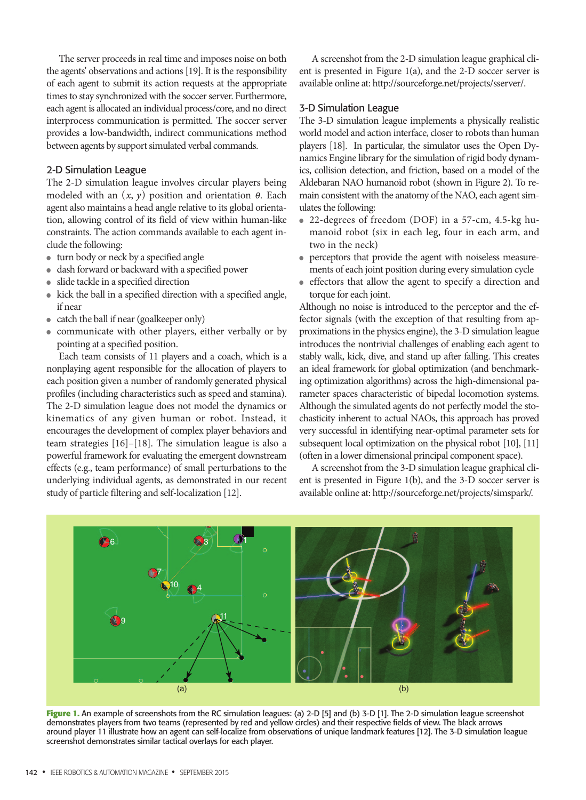The server proceeds in real time and imposes noise on both the agents' observations and actions [19]. It is the responsibility of each agent to submit its action requests at the appropriate times to stay synchronized with the soccer server. Furthermore, each agent is allocated an individual process/core, and no direct interprocess communication is permitted. The soccer server provides a low-bandwidth, indirect communications method between agents by support simulated verbal commands.

# 2-D Simulation League

The 2-D simulation league involves circular players being modeled with an  $(x, y)$  position and orientation  $\theta$ . Each agent also maintains a head angle relative to its global orientation, allowing control of its field of view within human-like constraints. The action commands available to each agent include the following:

- turn body or neck by a specified angle
- dash forward or backward with a specified power
- slide tackle in a specified direction
- kick the ball in a specified direction with a specified angle, if near
- catch the ball if near (goalkeeper only)
- communicate with other players, either verbally or by pointing at a specified position.

Each team consists of 11 players and a coach, which is a nonplaying agent responsible for the allocation of players to each position given a number of randomly generated physical profiles (including characteristics such as speed and stamina). The 2-D simulation league does not model the dynamics or kinematics of any given human or robot. Instead, it encourages the development of complex player behaviors and team strategies [16]–[18]. The simulation league is also a powerful framework for evaluating the emergent downstream effects (e.g., team performance) of small perturbations to the underlying individual agents, as demonstrated in our recent study of particle filtering and self-localization [12].

A screenshot from the 2-D simulation league graphical client is presented in Figure 1(a), and the 2-D soccer server is available online at: http://sourceforge.net/projects/sserver/.

# 3-D Simulation League

The 3-D simulation league implements a physically realistic world model and action interface, closer to robots than human players [18]. In particular, the simulator uses the Open Dynamics Engine library for the simulation of rigid body dynamics, collision detection, and friction, based on a model of the Aldebaran NAO humanoid robot (shown in Figure 2). To remain consistent with the anatomy of the NAO, each agent simulates the following:

- 22-degrees of freedom (DOF) in a 57-cm, 4.5-kg humanoid robot (six in each leg, four in each arm, and two in the neck)
- perceptors that provide the agent with noiseless measurements of each joint position during every simulation cycle
- effectors that allow the agent to specify a direction and torque for each joint.

Although no noise is introduced to the perceptor and the effector signals (with the exception of that resulting from approximations in the physics engine), the 3-D simulation league introduces the nontrivial challenges of enabling each agent to stably walk, kick, dive, and stand up after falling. This creates an ideal framework for global optimization (and benchmarking optimization algorithms) across the high-dimensional parameter spaces characteristic of bipedal locomotion systems. Although the simulated agents do not perfectly model the stochasticity inherent to actual NAOs, this approach has proved very successful in identifying near-optimal parameter sets for subsequent local optimization on the physical robot [10], [11] (often in a lower dimensional principal component space).

A screenshot from the 3-D simulation league graphical client is presented in Figure 1(b), and the 3-D soccer server is available online at: http://sourceforge.net/projects/simspark/.



**Figure 1.** An example of screenshots from the RC simulation leagues: (a) 2-D [5] and (b) 3-D [1]. The 2-D simulation league screenshot demonstrates players from two teams (represented by red and yellow circles) and their respective fields of view. The black arrows around player 11 illustrate how an agent can self-localize from observations of unique landmark features [12]. The 3-D simulation league screenshot demonstrates similar tactical overlays for each player.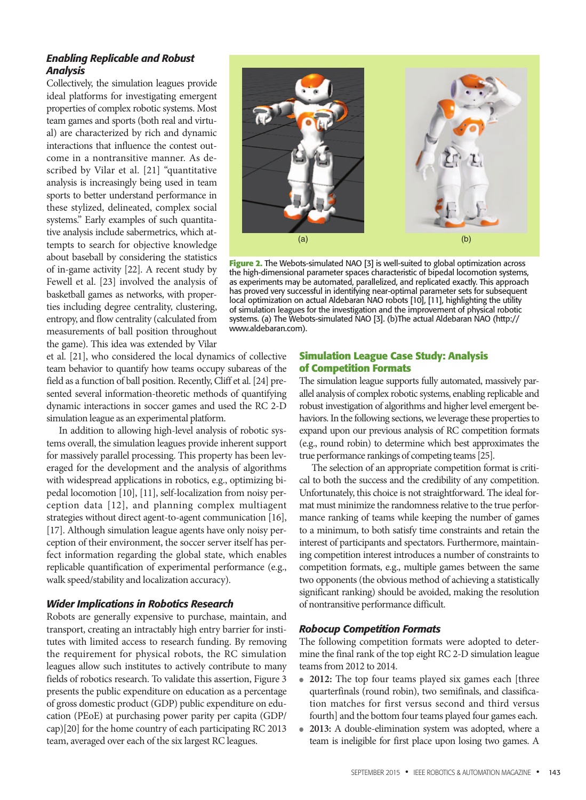# *Enabling Replicable and Robust Analysis*

Collectively, the simulation leagues provide ideal platforms for investigating emergent properties of complex robotic systems. Most team games and sports (both real and virtual) are characterized by rich and dynamic interactions that influence the contest outcome in a nontransitive manner. As described by Vilar et al. [21] "quantitative analysis is increasingly being used in team sports to better understand performance in these stylized, delineated, complex social systems." Early examples of such quantitative analysis include sabermetrics, which attempts to search for objective knowledge about baseball by considering the statistics of in-game activity [22]. A recent study by Fewell et al. [23] involved the analysis of basketball games as networks, with properties including degree centrality, clustering, entropy, and flow centrality (calculated from measurements of ball position throughout the game). This idea was extended by Vilar



**Figure 2.** The Webots-simulated NAO [3] is well-suited to global optimization across the high-dimensional parameter spaces characteristic of bipedal locomotion systems, as experiments may be automated, parallelized, and replicated exactly. This approach has proved very successful in identifying near-optimal parameter sets for subsequent local optimization on actual Aldebaran NAO robots [10], [11], highlighting the utility of simulation leagues for the investigation and the improvement of physical robotic systems. (a) The Webots-simulated NAO [3]. (b)The actual Aldebaran NAO (http:// www.aldebaran.com).

et al. [21], who considered the local dynamics of collective team behavior to quantify how teams occupy subareas of the field as a function of ball position. Recently, Cliff et al. [24] presented several information-theoretic methods of quantifying dynamic interactions in soccer games and used the RC 2-D simulation league as an experimental platform.

In addition to allowing high-level analysis of robotic systems overall, the simulation leagues provide inherent support for massively parallel processing. This property has been leveraged for the development and the analysis of algorithms with widespread applications in robotics, e.g., optimizing bipedal locomotion [10], [11], self-localization from noisy perception data [12], and planning complex multiagent strategies without direct agent-to-agent communication [16], [17]. Although simulation league agents have only noisy perception of their environment, the soccer server itself has perfect information regarding the global state, which enables replicable quantification of experimental performance (e.g., walk speed/stability and localization accuracy).

# *Wider Implications in Robotics Research*

Robots are generally expensive to purchase, maintain, and transport, creating an intractably high entry barrier for institutes with limited access to research funding. By removing the requirement for physical robots, the RC simulation leagues allow such institutes to actively contribute to many fields of robotics research. To validate this assertion, Figure 3 presents the public expenditure on education as a percentage of gross domestic product (GDP) public expenditure on education (PEoE) at purchasing power parity per capita (GDP/ cap)[20] for the home country of each participating RC 2013 team, averaged over each of the six largest RC leagues.

# **Simulation League Case Study: Analysis of Competition Formats**

The simulation league supports fully automated, massively parallel analysis of complex robotic systems, enabling replicable and robust investigation of algorithms and higher level emergent behaviors. In the following sections, we leverage these properties to expand upon our previous analysis of RC competition formats (e.g., round robin) to determine which best approximates the true performance rankings of competing teams [25].

The selection of an appropriate competition format is critical to both the success and the credibility of any competition. Unfortunately, this choice is not straightforward. The ideal format must minimize the randomness relative to the true performance ranking of teams while keeping the number of games to a minimum, to both satisfy time constraints and retain the interest of participants and spectators. Furthermore, maintaining competition interest introduces a number of constraints to competition formats, e.g., multiple games between the same two opponents (the obvious method of achieving a statistically significant ranking) should be avoided, making the resolution of nontransitive performance difficult.

# *Robocup Competition Formats*

The following competition formats were adopted to determine the final rank of the top eight RC 2-D simulation league teams from 2012 to 2014.

- 2012: The top four teams played six games each [three quarterfinals (round robin), two semifinals, and classification matches for first versus second and third versus fourth] and the bottom four teams played four games each.
- **2013:** A double-elimination system was adopted, where a team is ineligible for first place upon losing two games. A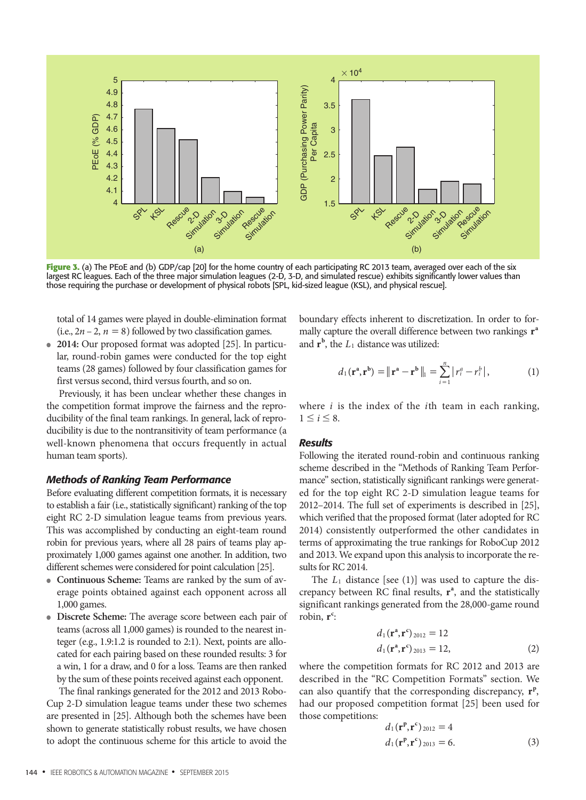

**Figure 3.** (a) The PEoE and (b) GDP/cap [20] for the home country of each participating RC 2013 team, averaged over each of the six largest RC leagues. Each of the three major simulation leagues (2-D, 3-D, and simulated rescue) exhibits significantly lower values than those requiring the purchase or development of physical robots [SPL, kid-sized league (KSL), and physical rescue].

total of 14 games were played in double-elimination format (i.e.,  $2n - 2$ ,  $n = 8$ ) followed by two classification games.

• **2014:** Our proposed format was adopted [25]. In particular, round-robin games were conducted for the top eight teams (28 games) followed by four classification games for first versus second, third versus fourth, and so on.

Previously, it has been unclear whether these changes in the competition format improve the fairness and the reproducibility of the final team rankings. In general, lack of reproducibility is due to the nontransitivity of team performance (a well-known phenomena that occurs frequently in actual human team sports).

# *Methods of Ranking Team Performance*

Before evaluating different competition formats, it is necessary to establish a fair (i.e., statistically significant) ranking of the top eight RC 2-D simulation league teams from previous years. This was accomplished by conducting an eight-team round robin for previous years, where all 28 pairs of teams play approximately 1,000 games against one another. In addition, two different schemes were considered for point calculation [25].

- **Continuous Scheme:** Teams are ranked by the sum of average points obtained against each opponent across all 1,000 games.
- **Discrete Scheme:** The average score between each pair of teams (across all 1,000 games) is rounded to the nearest integer (e.g., 1.9:1.2 is rounded to 2:1). Next, points are allocated for each pairing based on these rounded results: 3 for a win, 1 for a draw, and 0 for a loss. Teams are then ranked by the sum of these points received against each opponent.

The final rankings generated for the 2012 and 2013 Robo-Cup 2-D simulation league teams under these two schemes are presented in [25]. Although both the schemes have been shown to generate statistically robust results, we have chosen to adopt the continuous scheme for this article to avoid the boundary effects inherent to discretization. In order to formally capture the overall difference between two rankings **r<sup>a</sup>** and  $\mathbf{r}^{\mathbf{b}}$ , the  $L_1$  distance was utilized:

$$
d_1(\mathbf{r}^{\mathbf{a}}, \mathbf{r}^{\mathbf{b}}) = ||\mathbf{r}^{\mathbf{a}} - \mathbf{r}^{\mathbf{b}}||_1 = \sum_{i=1}^n |r_i^a - r_i^b|,
$$
 (1)

where *i* is the index of the *i*th team in each ranking,  $1 \leq i \leq 8$ .

# *Results*

Following the iterated round-robin and continuous ranking scheme described in the "Methods of Ranking Team Performance" section, statistically significant rankings were generated for the top eight RC 2-D simulation league teams for 2012–2014. The full set of experiments is described in [25], which verified that the proposed format (later adopted for RC 2014) consistently outperformed the other candidates in terms of approximating the true rankings for RoboCup 2012 and 2013. We expand upon this analysis to incorporate the results for RC 2014.

The *L*1 distance [see (1)] was used to capture the discrepancy between RC final results,  $r^a$ , and the statistically significant rankings generated from the 28,000-game round robin, **r**<sup>c</sup>:

$$
d_1(\mathbf{r}^a, \mathbf{r}^c)_{2012} = 12
$$
  

$$
d_1(\mathbf{r}^a, \mathbf{r}^c)_{2013} = 12,
$$
 (2)

where the competition formats for RC 2012 and 2013 are described in the "RC Competition Formats" section. We can also quantify that the corresponding discrepancy,  $\mathbf{r}^{\text{p}}$ , had our proposed competition format [25] been used for those competitions:

$$
d_1(\mathbf{r}^{\mathbf{p}}, \mathbf{r}^{\mathbf{c}})_{2012} = 4
$$
  

$$
d_1(\mathbf{r}^{\mathbf{p}}, \mathbf{r}^{\mathbf{c}})_{2013} = 6.
$$
 (3)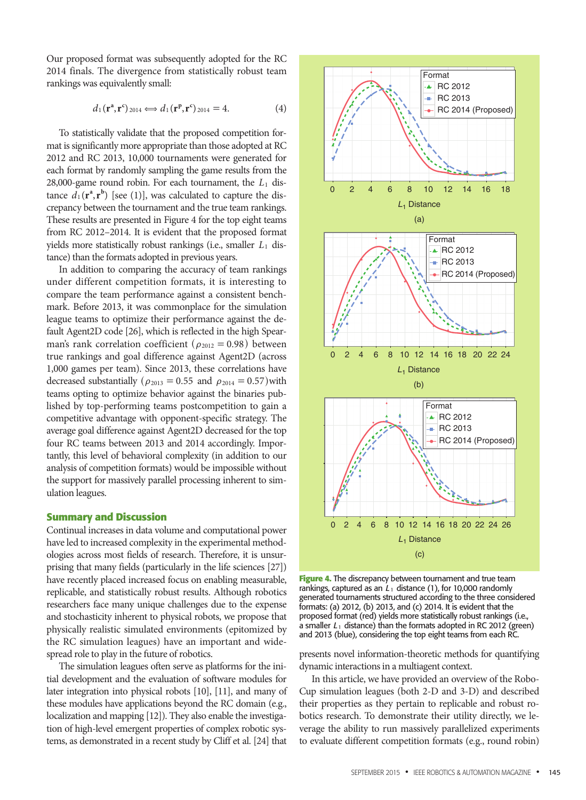Our proposed format was subsequently adopted for the RC 2014 finals. The divergence from statistically robust team rankings was equivalently small:

$$
d_1(\mathbf{r}^{\mathbf{a}}, \mathbf{r}^{\mathbf{c}})_{2014} \Longleftrightarrow d_1(\mathbf{r}^{\mathbf{p}}, \mathbf{r}^{\mathbf{c}})_{2014} = 4. \tag{4}
$$

To statistically validate that the proposed competition format is significantly more appropriate than those adopted at RC 2012 and RC 2013, 10,000 tournaments were generated for each format by randomly sampling the game results from the 28,000-game round robin. For each tournament, the *L*1 distance  $d_1(\mathbf{r}^a, \mathbf{r}^b)$  [see (1)], was calculated to capture the discrepancy between the tournament and the true team rankings. These results are presented in Figure 4 for the top eight teams from RC 2012–2014. It is evident that the proposed format yields more statistically robust rankings (i.e., smaller *L*1 distance) than the formats adopted in previous years.

In addition to comparing the accuracy of team rankings under different competition formats, it is interesting to compare the team performance against a consistent benchmark. Before 2013, it was commonplace for the simulation league teams to optimize their performance against the default Agent2D code [26], which is reflected in the high Spearman's rank correlation coefficient  $(\rho_{2012} = 0.98)$  between true rankings and goal difference against Agent2D (across 1,000 games per team). Since 2013, these correlations have decreased substantially ( $\rho_{2013} = 0.55$  and  $\rho_{2014} = 0.57$ )with teams opting to optimize behavior against the binaries published by top-performing teams postcompetition to gain a competitive advantage with opponent-specific strategy. The average goal difference against Agent2D decreased for the top four RC teams between 2013 and 2014 accordingly. Importantly, this level of behavioral complexity (in addition to our analysis of competition formats) would be impossible without the support for massively parallel processing inherent to simulation leagues.

# **Summary and Discussion**

Continual increases in data volume and computational power have led to increased complexity in the experimental methodologies across most fields of research. Therefore, it is unsurprising that many fields (particularly in the life sciences [27]) have recently placed increased focus on enabling measurable, replicable, and statistically robust results. Although robotics researchers face many unique challenges due to the expense and stochasticity inherent to physical robots, we propose that physically realistic simulated environments (epitomized by the RC simulation leagues) have an important and widespread role to play in the future of robotics.

The simulation leagues often serve as platforms for the initial development and the evaluation of software modules for later integration into physical robots [10], [11], and many of these modules have applications beyond the RC domain (e.g., localization and mapping [12]). They also enable the investigation of high-level emergent properties of complex robotic systems, as demonstrated in a recent study by Cliff et al. [24] that



**Figure 4.** The discrepancy between tournament and true team rankings, captured as an  $L_1$  distance (1), for 10,000 randomly generated tournaments structured according to the three considered formats: (a) 2012, (b) 2013, and (c) 2014. It is evident that the proposed format (red) yields more statistically robust rankings (i.e., a smaller *L*1 distance) than the formats adopted in RC 2012 (green) and 2013 (blue), considering the top eight teams from each RC.

presents novel information-theoretic methods for quantifying dynamic interactions in a multiagent context.

In this article, we have provided an overview of the Robo-Cup simulation leagues (both 2-D and 3-D) and described their properties as they pertain to replicable and robust robotics research. To demonstrate their utility directly, we leverage the ability to run massively parallelized experiments to evaluate different competition formats (e.g., round robin)